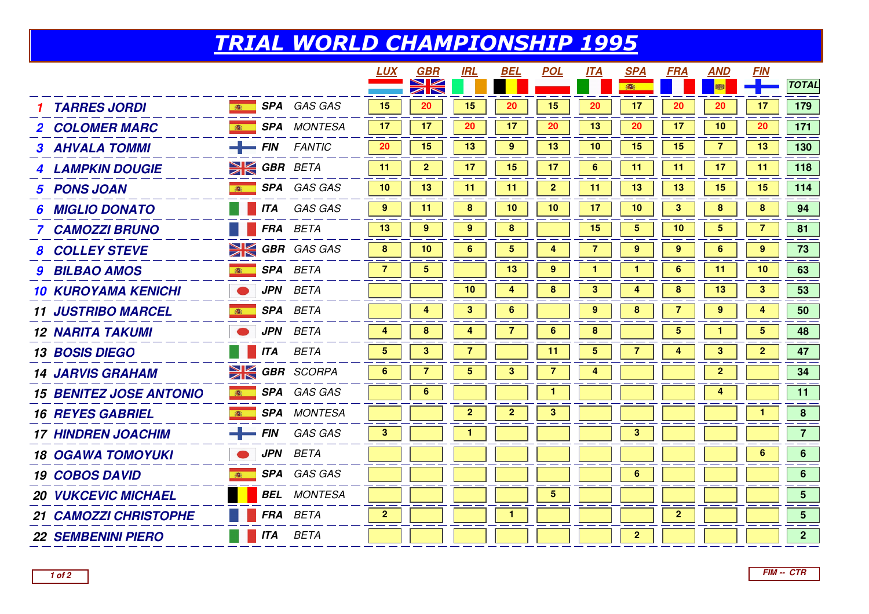## TRIAL WORLD CHAMPIONSHIP 1995

|                                |                         |                      | <b>LUX</b>              | GBR                                                                  | <b>IRL</b>       | <b>BEL</b>              | <b>POL</b>              | <b>ITA</b>     | <b>SPA</b>              | <b>FRA</b>      | <b>AND</b>              | <u>FIN</u>      |                  |
|--------------------------------|-------------------------|----------------------|-------------------------|----------------------------------------------------------------------|------------------|-------------------------|-------------------------|----------------|-------------------------|-----------------|-------------------------|-----------------|------------------|
|                                |                         |                      |                         | $\blacktriangleright$ $\blacktriangleright$<br>$\blacktriangleright$ |                  |                         |                         |                |                         |                 |                         |                 | <b>TOTAL</b>     |
| <b>TARRES JORDI</b>            |                         | SPA GAS GAS          | 15                      | 20                                                                   | 15               | 20                      | 15                      | 20             | 17                      | 20              | 20                      | 17              | 179              |
| <b>2 COLOMER MARC</b>          | 高                       | <b>SPA</b> MONTESA   | 17                      | 17                                                                   | 20               | 17                      | 20                      | 13             | 20                      | 17              | 10                      | 20              | 171              |
| <b>3 AHVALA TOMMI</b>          | $\leftarrow$ FIN        | <b>FANTIC</b>        | 20                      | 15                                                                   | 13               | 9                       | 13                      | 10             | 15                      | 15              | $\overline{7}$          | 13              | 130              |
| <b>4 LAMPKIN DOUGIE</b>        | <b>EXECUTE GBR</b> BETA |                      | 11                      | $\overline{2}$                                                       | 17               | 15                      | 17                      | 6              | 11                      | 11              | 17                      | 11              | 118              |
| 5 PONS JOAN                    | <b>B</b>                | SPA GAS GAS          | 10                      | 13                                                                   | 11               | 11                      | $\overline{2}$          | 11             | 13                      | 13              | 15                      | 15              | 114              |
| <b>MIGLIO DONATO</b><br>6      |                         | <b>ITA</b> GAS GAS   | 9                       | 11                                                                   | $\boldsymbol{8}$ | 10                      | 10                      | 17             | 10                      | $\mathbf{3}$    | 8                       | 8               | 94               |
| 7 CAMOZZI BRUNO                |                         | FRA BETA             | 13                      | 9                                                                    | 9                | $\bf8$                  |                         | 15             | $\overline{\mathbf{5}}$ | 10              | $\overline{\mathbf{5}}$ |                 | 81               |
| <b>8 COLLEY STEVE</b>          |                         | $\geq$ GBR GAS GAS   | 8                       | 10                                                                   | 6                | $\overline{\mathbf{5}}$ | 4                       | $\overline{7}$ | 9                       | 9               | 6                       | 9               | 73               |
| <b>9 BILBAO AMOS</b>           | 高                       | SPA BETA             | $\overline{7}$          | $\overline{\mathbf{5}}$                                              |                  | 13                      | $\boldsymbol{9}$        | $\mathbf{1}$   |                         | $6\phantom{1}6$ | 11                      | 10              | 63               |
| <b>10 KUROYAMA KENICHI</b>     | <b>JPN</b>              | <b>BETA</b>          |                         |                                                                      | 10               | 4                       | 8                       | 3              | 4                       | 8               | 13                      | $\mathbf{3}$    | 53               |
| <b>11 JUSTRIBO MARCEL</b>      | <b>SPA BETA</b>         |                      |                         | 4                                                                    | $\mathbf{3}$     | $6\phantom{a}$          |                         | 9              | 8                       | 7               | $\boldsymbol{9}$        | 4               | 50               |
| <b>12 NARITA TAKUMI</b>        |                         | <b>JPN</b> BETA      | 4                       | 8                                                                    | 4                | 7                       | 6                       | 8              |                         | 5               |                         | $5\overline{)}$ | 48               |
| <b>13 BOSIS DIEGO</b>          | <b>THE ITA BETA</b>     |                      | $\overline{\mathbf{5}}$ | $\mathbf{3}$                                                         | $\overline{7}$   |                         | 11                      | 5              | 7                       | 4               | 3                       | $\overline{2}$  | 47               |
| <b>14 JARVIS GRAHAM</b>        |                         | <b>EX GBR</b> SCORPA | 6                       |                                                                      | 5                | $\mathbf{3}$            | 7                       | 4              |                         |                 | $\overline{2}$          |                 | 34               |
| <b>15 BENITEZ JOSE ANTONIO</b> | 高                       | SPA GAS GAS          |                         | 6                                                                    |                  |                         | $\mathbf{1}$            |                |                         |                 | 4                       |                 | 11               |
| <b>16 REYES GABRIEL</b>        | 春                       | <b>SPA</b> MONTESA   |                         |                                                                      | $\overline{2}$   | $\overline{\mathbf{2}}$ | $\mathbf 3$             |                |                         |                 |                         | $\mathbf{1}$    | $\boldsymbol{8}$ |
| <b>17 HINDREN JOACHIM</b>      |                         | $-$ FIN GAS GAS      | $\mathbf{3}$            |                                                                      |                  |                         |                         |                | $\mathbf{3}$            |                 |                         |                 | $\overline{7}$   |
| <b>18 OGAWA TOMOYUKI</b>       |                         | <b>JPN</b> BETA      |                         |                                                                      |                  |                         |                         |                |                         |                 |                         | 6               | $6\overline{6}$  |
| <b>19 COBOS DAVID</b>          | 高                       | SPA GAS GAS          |                         |                                                                      |                  |                         |                         |                | 6                       |                 |                         |                 | 6 <sup>1</sup>   |
| <b>20 VUKCEVIC MICHAEL</b>     |                         | <b>BEL</b> MONTESA   |                         |                                                                      |                  |                         | $\overline{\mathbf{5}}$ |                |                         |                 |                         |                 | 5 <sup>5</sup>   |
| <b>21 CAMOZZI CHRISTOPHE</b>   |                         | FRA BETA             | $\overline{2}$          |                                                                      |                  | 1                       |                         |                |                         | $\overline{2}$  |                         |                 | 5 <sup>5</sup>   |
| <b>22 SEMBENINI PIERO</b>      | <b>ITA</b>              | <b>BETA</b>          |                         |                                                                      |                  |                         |                         |                | $\overline{2}$          |                 |                         |                 | 2 <sup>1</sup>   |
|                                |                         |                      |                         |                                                                      |                  |                         |                         |                |                         |                 |                         |                 |                  |